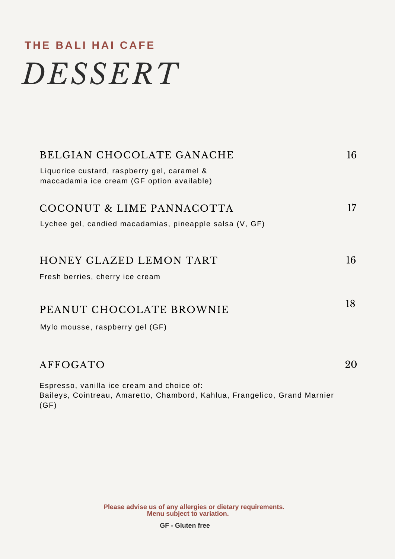## **T H E B A L I H A I C A FE** *DESSERT*

| BELGIAN CHOCOLATE GANACHE                                                                                                       | 16     |
|---------------------------------------------------------------------------------------------------------------------------------|--------|
| Liquorice custard, raspberry gel, caramel &<br>maccadamia ice cream (GF option available)                                       |        |
| COCONUT & LIME PANNACOTTA                                                                                                       | $17\,$ |
| Lychee gel, candied macadamias, pineapple salsa (V, GF)                                                                         |        |
|                                                                                                                                 |        |
| HONEY GLAZED LEMON TART                                                                                                         | 16     |
| Fresh berries, cherry ice cream                                                                                                 |        |
|                                                                                                                                 | 18     |
| PEANUT CHOCOLATE BROWNIE                                                                                                        |        |
| Mylo mousse, raspberry gel (GF)                                                                                                 |        |
|                                                                                                                                 |        |
| AFFOGATO                                                                                                                        | 20     |
| Espresso, vanilla ice cream and choice of:<br>Baileys, Cointreau, Amaretto, Chambord, Kahlua, Frangelico, Grand Marnier<br>(GF) |        |

**Menu subject to variation. Please advise us of any allergies or dietary requirements.**